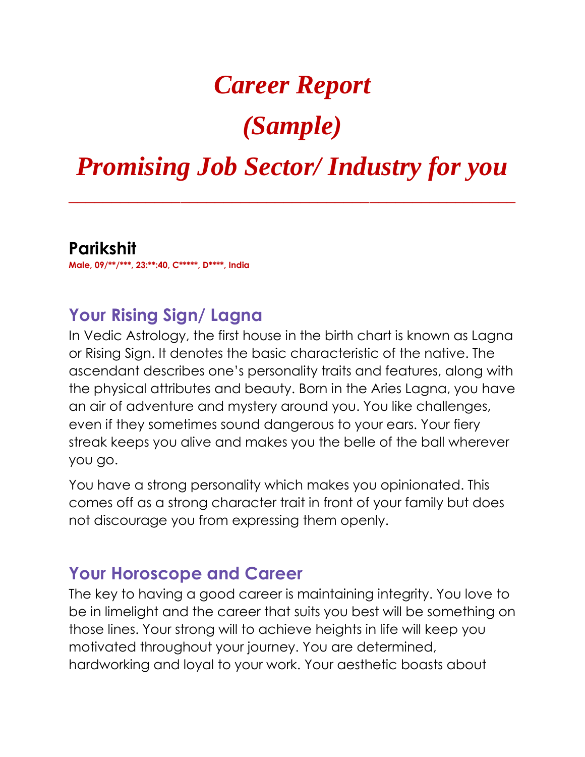## *Career Report*

# *(Sample)*

## *Promising Job Sector/ Industry for you*

*\_\_\_\_\_\_\_\_\_\_\_\_\_\_\_\_\_\_\_\_\_\_\_\_\_\_\_\_\_\_\_\_\_\_\_\_\_\_\_\_\_\_\_\_\_\_\_\_\_\_\_\_*

**Parikshit Male, 09/\*\*/\*\*\*, 23:\*\*:40, C\*\*\*\*\*, D\*\*\*\*, India**

#### **Your Rising Sign/ Lagna**

In Vedic Astrology, the first house in the birth chart is known as Lagna or Rising Sign. It denotes the basic characteristic of the native. The ascendant describes one's personality traits and features, along with the physical attributes and beauty. Born in the Aries Lagna, you have an air of adventure and mystery around you. You like challenges, even if they sometimes sound dangerous to your ears. Your fiery streak keeps you alive and makes you the belle of the ball wherever you go.

You have a strong personality which makes you opinionated. This comes off as a strong character trait in front of your family but does not discourage you from expressing them openly.

#### **Your Horoscope and Career**

The key to having a good career is maintaining integrity. You love to be in limelight and the career that suits you best will be something on those lines. Your strong will to achieve heights in life will keep you motivated throughout your journey. You are determined, hardworking and loyal to your work. Your aesthetic boasts about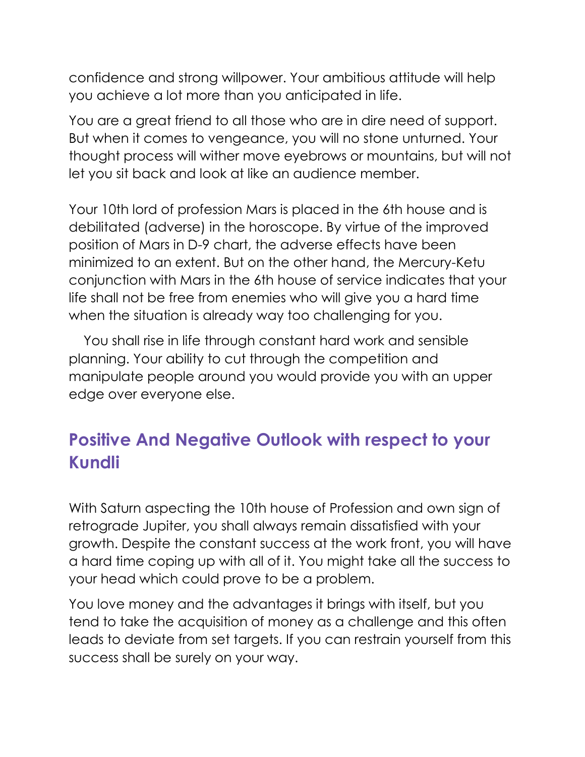confidence and strong willpower. Your ambitious attitude will help you achieve a lot more than you anticipated in life.

You are a great friend to all those who are in dire need of support. But when it comes to vengeance, you will no stone unturned. Your thought process will wither move eyebrows or mountains, but will not let you sit back and look at like an audience member.

Your 10th lord of profession Mars is placed in the 6th house and is debilitated (adverse) in the horoscope. By virtue of the improved position of Mars in D-9 chart, the adverse effects have been minimized to an extent. But on the other hand, the Mercury-Ketu conjunction with Mars in the 6th house of service indicates that your life shall not be free from enemies who will give you a hard time when the situation is already way too challenging for you.

 You shall rise in life through constant hard work and sensible planning. Your ability to cut through the competition and manipulate people around you would provide you with an upper edge over everyone else.

## **Positive And Negative Outlook with respect to your Kundli**

With Saturn aspecting the 10th house of Profession and own sign of retrograde Jupiter, you shall always remain dissatisfied with your growth. Despite the constant success at the work front, you will have a hard time coping up with all of it. You might take all the success to your head which could prove to be a problem.

You love money and the advantages it brings with itself, but you tend to take the acquisition of money as a challenge and this often leads to deviate from set targets. If you can restrain yourself from this success shall be surely on your way.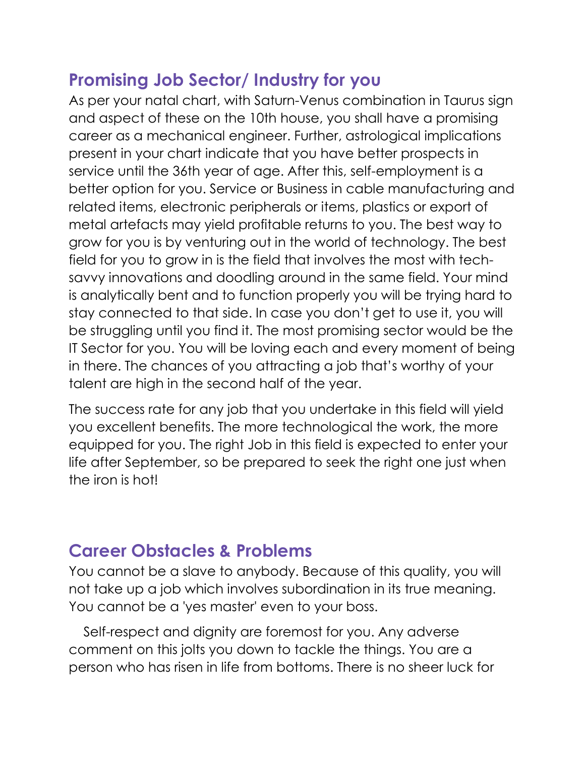### **Promising Job Sector/ Industry for you**

As per your natal chart, with Saturn-Venus combination in Taurus sign and aspect of these on the 10th house, you shall have a promising career as a mechanical engineer. Further, astrological implications present in your chart indicate that you have better prospects in service until the 36th year of age. After this, self-employment is a better option for you. Service or Business in cable manufacturing and related items, electronic peripherals or items, plastics or export of metal artefacts may yield profitable returns to you. The best way to grow for you is by venturing out in the world of technology. The best field for you to grow in is the field that involves the most with techsavvy innovations and doodling around in the same field. Your mind is analytically bent and to function properly you will be trying hard to stay connected to that side. In case you don't get to use it, you will be struggling until you find it. The most promising sector would be the IT Sector for you. You will be loving each and every moment of being in there. The chances of you attracting a job that's worthy of your talent are high in the second half of the year.

The success rate for any job that you undertake in this field will yield you excellent benefits. The more technological the work, the more equipped for you. The right Job in this field is expected to enter your life after September, so be prepared to seek the right one just when the iron is hot!

### **Career Obstacles & Problems**

You cannot be a slave to anybody. Because of this quality, you will not take up a job which involves subordination in its true meaning. You cannot be a 'yes master' even to your boss.

 Self-respect and dignity are foremost for you. Any adverse comment on this jolts you down to tackle the things. You are a person who has risen in life from bottoms. There is no sheer luck for